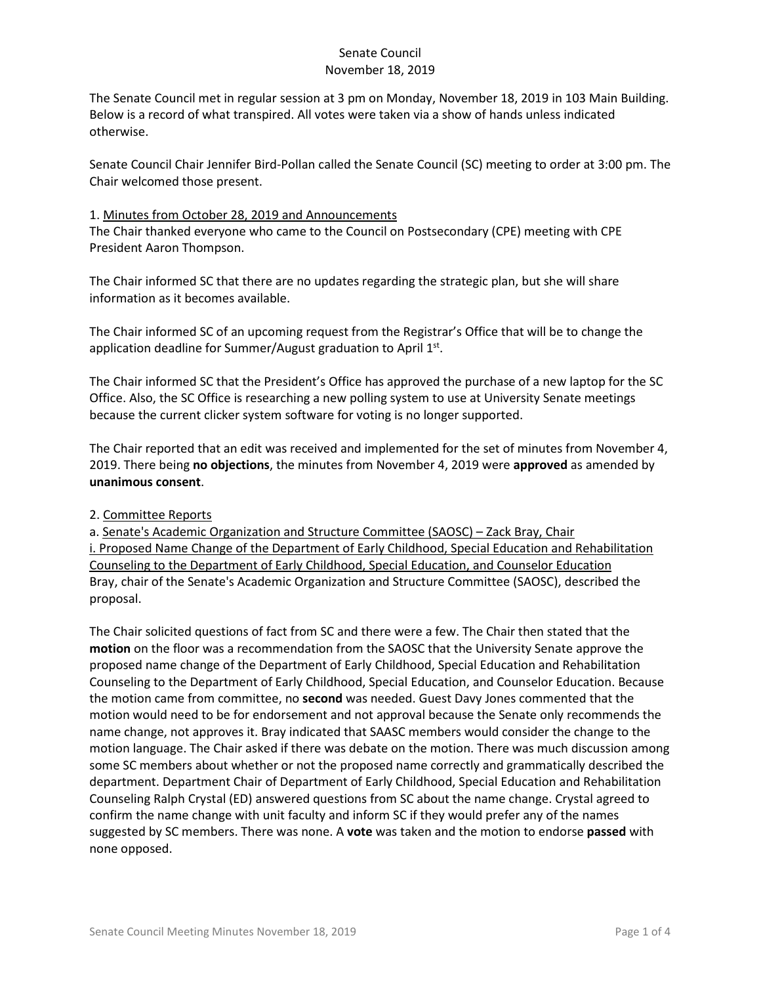The Senate Council met in regular session at 3 pm on Monday, November 18, 2019 in 103 Main Building. Below is a record of what transpired. All votes were taken via a show of hands unless indicated otherwise.

Senate Council Chair Jennifer Bird-Pollan called the Senate Council (SC) meeting to order at 3:00 pm. The Chair welcomed those present.

#### 1. Minutes from October 28, 2019 and Announcements

The Chair thanked everyone who came to the Council on Postsecondary (CPE) meeting with CPE President Aaron Thompson.

The Chair informed SC that there are no updates regarding the strategic plan, but she will share information as it becomes available.

The Chair informed SC of an upcoming request from the Registrar's Office that will be to change the application deadline for Summer/August graduation to April 1<sup>st</sup>.

The Chair informed SC that the President's Office has approved the purchase of a new laptop for the SC Office. Also, the SC Office is researching a new polling system to use at University Senate meetings because the current clicker system software for voting is no longer supported.

The Chair reported that an edit was received and implemented for the set of minutes from November 4, 2019. There being **no objections**, the minutes from November 4, 2019 were **approved** as amended by **unanimous consent**.

#### 2. Committee Reports

a. Senate's Academic Organization and Structure Committee (SAOSC) – Zack Bray, Chair i. Proposed Name Change of the Department of Early Childhood, Special Education and Rehabilitation Counseling to the Department of Early Childhood, Special Education, and Counselor Education Bray, chair of the Senate's Academic Organization and Structure Committee (SAOSC), described the proposal.

The Chair solicited questions of fact from SC and there were a few. The Chair then stated that the **motion** on the floor was a recommendation from the SAOSC that the University Senate approve the proposed name change of the Department of Early Childhood, Special Education and Rehabilitation Counseling to the Department of Early Childhood, Special Education, and Counselor Education. Because the motion came from committee, no **second** was needed. Guest Davy Jones commented that the motion would need to be for endorsement and not approval because the Senate only recommends the name change, not approves it. Bray indicated that SAASC members would consider the change to the motion language. The Chair asked if there was debate on the motion. There was much discussion among some SC members about whether or not the proposed name correctly and grammatically described the department. Department Chair of Department of Early Childhood, Special Education and Rehabilitation Counseling Ralph Crystal (ED) answered questions from SC about the name change. Crystal agreed to confirm the name change with unit faculty and inform SC if they would prefer any of the names suggested by SC members. There was none. A **vote** was taken and the motion to endorse **passed** with none opposed.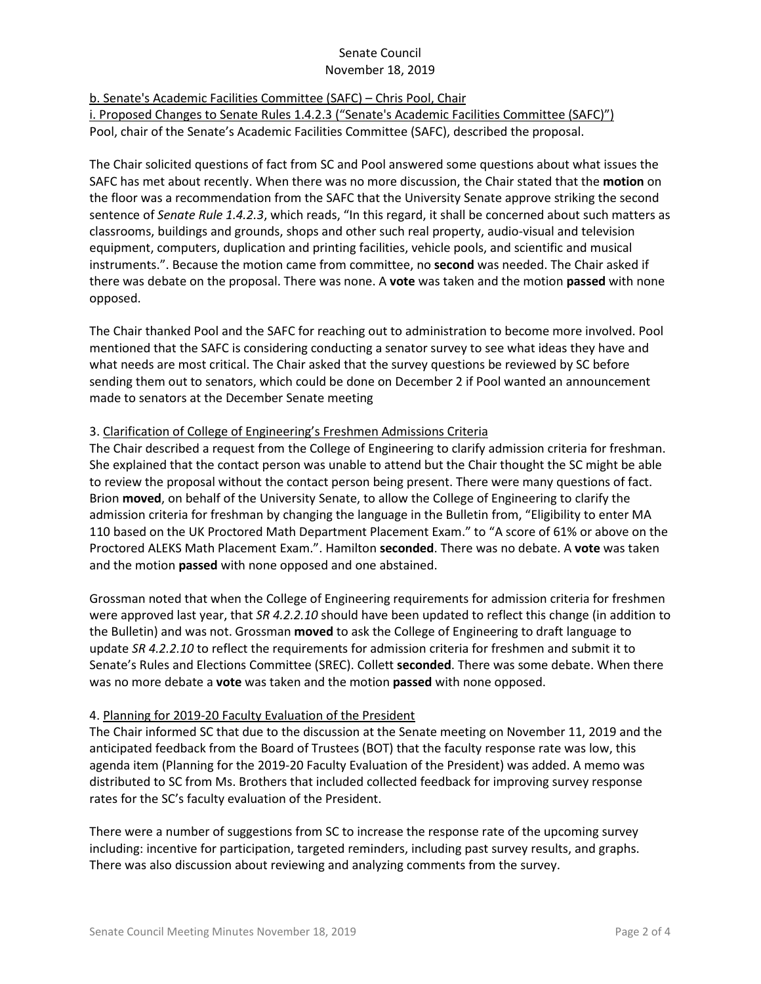b. Senate's Academic Facilities Committee (SAFC) – Chris Pool, Chair

i. Proposed Changes to Senate Rules 1.4.2.3 ("Senate's Academic Facilities Committee (SAFC)") Pool, chair of the Senate's Academic Facilities Committee (SAFC), described the proposal.

The Chair solicited questions of fact from SC and Pool answered some questions about what issues the SAFC has met about recently. When there was no more discussion, the Chair stated that the **motion** on the floor was a recommendation from the SAFC that the University Senate approve striking the second sentence of *Senate Rule 1.4.2.3*, which reads, "In this regard, it shall be concerned about such matters as classrooms, buildings and grounds, shops and other such real property, audio-visual and television equipment, computers, duplication and printing facilities, vehicle pools, and scientific and musical instruments.". Because the motion came from committee, no **second** was needed. The Chair asked if there was debate on the proposal. There was none. A **vote** was taken and the motion **passed** with none opposed.

The Chair thanked Pool and the SAFC for reaching out to administration to become more involved. Pool mentioned that the SAFC is considering conducting a senator survey to see what ideas they have and what needs are most critical. The Chair asked that the survey questions be reviewed by SC before sending them out to senators, which could be done on December 2 if Pool wanted an announcement made to senators at the December Senate meeting

## 3. Clarification of College of Engineering's Freshmen Admissions Criteria

The Chair described a request from the College of Engineering to clarify admission criteria for freshman. She explained that the contact person was unable to attend but the Chair thought the SC might be able to review the proposal without the contact person being present. There were many questions of fact. Brion **moved**, on behalf of the University Senate, to allow the College of Engineering to clarify the admission criteria for freshman by changing the language in the Bulletin from, "Eligibility to enter MA 110 based on the UK Proctored Math Department Placement Exam." to "A score of 61% or above on the Proctored ALEKS Math Placement Exam.". Hamilton **seconded**. There was no debate. A **vote** was taken and the motion **passed** with none opposed and one abstained.

Grossman noted that when the College of Engineering requirements for admission criteria for freshmen were approved last year, that *SR 4.2.2.10* should have been updated to reflect this change (in addition to the Bulletin) and was not. Grossman **moved** to ask the College of Engineering to draft language to update *SR 4.2.2.10* to reflect the requirements for admission criteria for freshmen and submit it to Senate's Rules and Elections Committee (SREC). Collett **seconded**. There was some debate. When there was no more debate a **vote** was taken and the motion **passed** with none opposed.

## 4. Planning for 2019-20 Faculty Evaluation of the President

The Chair informed SC that due to the discussion at the Senate meeting on November 11, 2019 and the anticipated feedback from the Board of Trustees (BOT) that the faculty response rate was low, this agenda item (Planning for the 2019-20 Faculty Evaluation of the President) was added. A memo was distributed to SC from Ms. Brothers that included collected feedback for improving survey response rates for the SC's faculty evaluation of the President.

There were a number of suggestions from SC to increase the response rate of the upcoming survey including: incentive for participation, targeted reminders, including past survey results, and graphs. There was also discussion about reviewing and analyzing comments from the survey.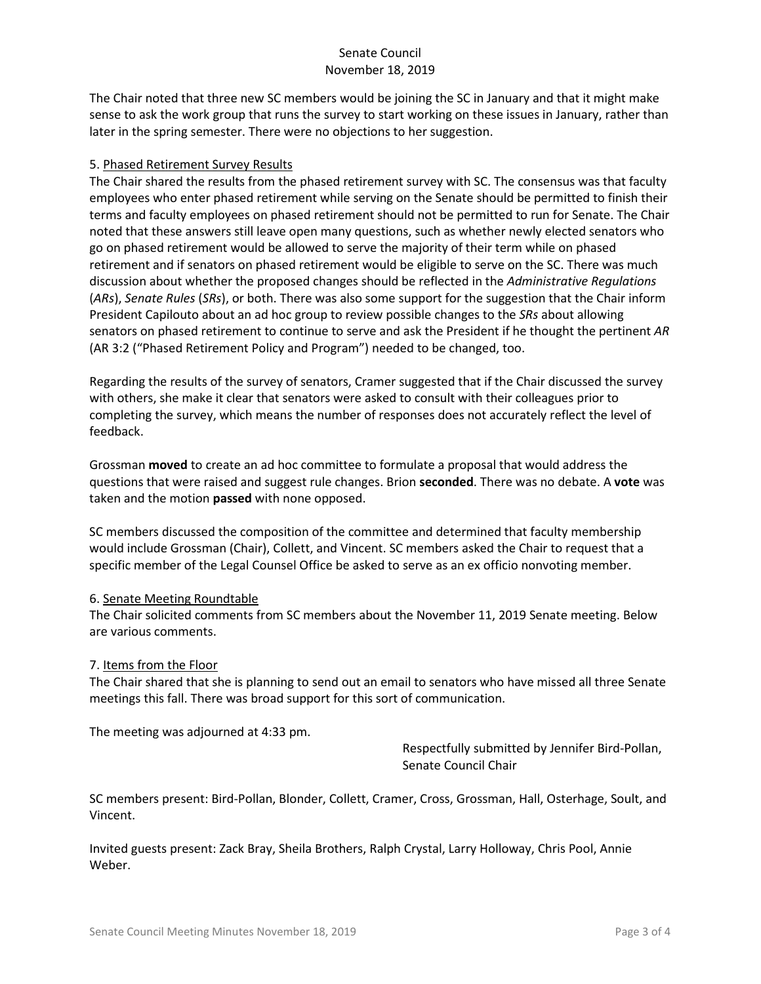The Chair noted that three new SC members would be joining the SC in January and that it might make sense to ask the work group that runs the survey to start working on these issues in January, rather than later in the spring semester. There were no objections to her suggestion.

#### 5. Phased Retirement Survey Results

The Chair shared the results from the phased retirement survey with SC. The consensus was that faculty employees who enter phased retirement while serving on the Senate should be permitted to finish their terms and faculty employees on phased retirement should not be permitted to run for Senate. The Chair noted that these answers still leave open many questions, such as whether newly elected senators who go on phased retirement would be allowed to serve the majority of their term while on phased retirement and if senators on phased retirement would be eligible to serve on the SC. There was much discussion about whether the proposed changes should be reflected in the *Administrative Regulations* (*ARs*), *Senate Rules* (*SRs*), or both. There was also some support for the suggestion that the Chair inform President Capilouto about an ad hoc group to review possible changes to the *SRs* about allowing senators on phased retirement to continue to serve and ask the President if he thought the pertinent *AR*  (AR 3:2 ("Phased Retirement Policy and Program") needed to be changed, too.

Regarding the results of the survey of senators, Cramer suggested that if the Chair discussed the survey with others, she make it clear that senators were asked to consult with their colleagues prior to completing the survey, which means the number of responses does not accurately reflect the level of feedback.

Grossman **moved** to create an ad hoc committee to formulate a proposal that would address the questions that were raised and suggest rule changes. Brion **seconded**. There was no debate. A **vote** was taken and the motion **passed** with none opposed.

SC members discussed the composition of the committee and determined that faculty membership would include Grossman (Chair), Collett, and Vincent. SC members asked the Chair to request that a specific member of the Legal Counsel Office be asked to serve as an ex officio nonvoting member.

#### 6. Senate Meeting Roundtable

The Chair solicited comments from SC members about the November 11, 2019 Senate meeting. Below are various comments.

#### 7. Items from the Floor

The Chair shared that she is planning to send out an email to senators who have missed all three Senate meetings this fall. There was broad support for this sort of communication.

The meeting was adjourned at 4:33 pm.

Respectfully submitted by Jennifer Bird-Pollan, Senate Council Chair

SC members present: Bird-Pollan, Blonder, Collett, Cramer, Cross, Grossman, Hall, Osterhage, Soult, and Vincent.

Invited guests present: Zack Bray, Sheila Brothers, Ralph Crystal, Larry Holloway, Chris Pool, Annie Weber.